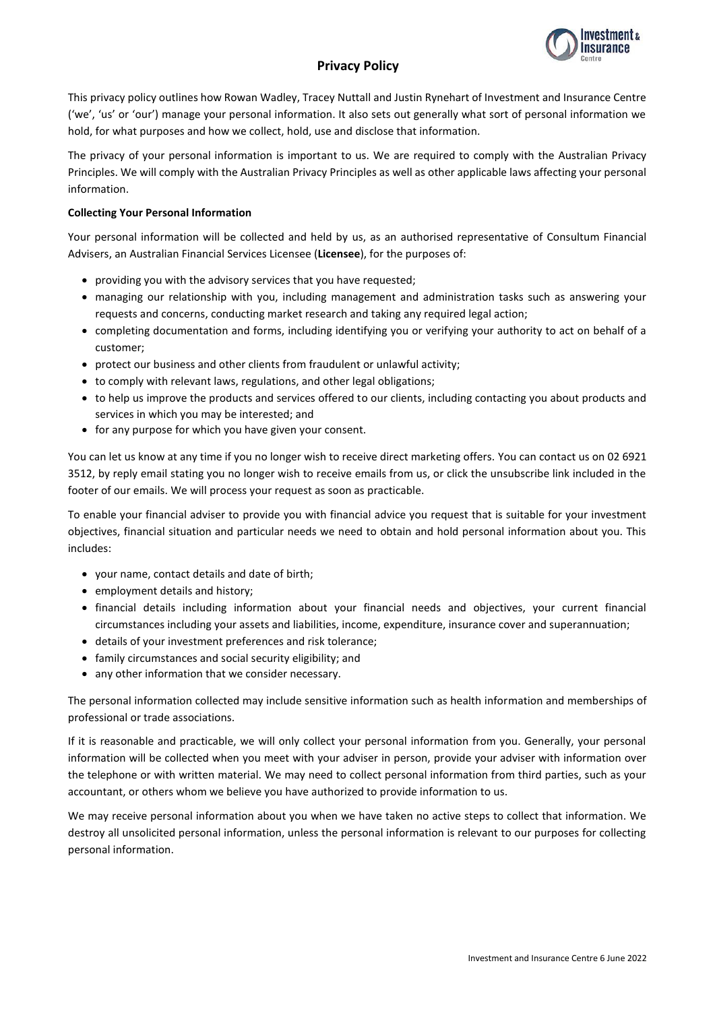# **Privacy Policy**



This privacy policy outlines how Rowan Wadley, Tracey Nuttall and Justin Rynehart of Investment and Insurance Centre ('we', 'us' or 'our') manage your personal information. It also sets out generally what sort of personal information we hold, for what purposes and how we collect, hold, use and disclose that information.

The privacy of your personal information is important to us. We are required to comply with the Australian Privacy Principles. We will comply with the Australian Privacy Principles as well as other applicable laws affecting your personal information.

# **Collecting Your Personal Information**

Your personal information will be collected and held by us, as an authorised representative of Consultum Financial Advisers, an Australian Financial Services Licensee (**Licensee**), for the purposes of:

- providing you with the advisory services that you have requested;
- managing our relationship with you, including management and administration tasks such as answering your requests and concerns, conducting market research and taking any required legal action;
- completing documentation and forms, including identifying you or verifying your authority to act on behalf of a customer;
- protect our business and other clients from fraudulent or unlawful activity;
- to comply with relevant laws, regulations, and other legal obligations;
- to help us improve the products and services offered to our clients, including contacting you about products and services in which you may be interested; and
- for any purpose for which you have given your consent.

You can let us know at any time if you no longer wish to receive direct marketing offers. You can contact us on 02 6921 3512, by reply email stating you no longer wish to receive emails from us, or click the unsubscribe link included in the footer of our emails. We will process your request as soon as practicable.

To enable your financial adviser to provide you with financial advice you request that is suitable for your investment objectives, financial situation and particular needs we need to obtain and hold personal information about you. This includes:

- your name, contact details and date of birth;
- employment details and history;
- financial details including information about your financial needs and objectives, your current financial circumstances including your assets and liabilities, income, expenditure, insurance cover and superannuation;
- details of your investment preferences and risk tolerance;
- family circumstances and social security eligibility; and
- any other information that we consider necessary.

The personal information collected may include sensitive information such as health information and memberships of professional or trade associations.

If it is reasonable and practicable, we will only collect your personal information from you. Generally, your personal information will be collected when you meet with your adviser in person, provide your adviser with information over the telephone or with written material. We may need to collect personal information from third parties, such as your accountant, or others whom we believe you have authorized to provide information to us.

We may receive personal information about you when we have taken no active steps to collect that information. We destroy all unsolicited personal information, unless the personal information is relevant to our purposes for collecting personal information.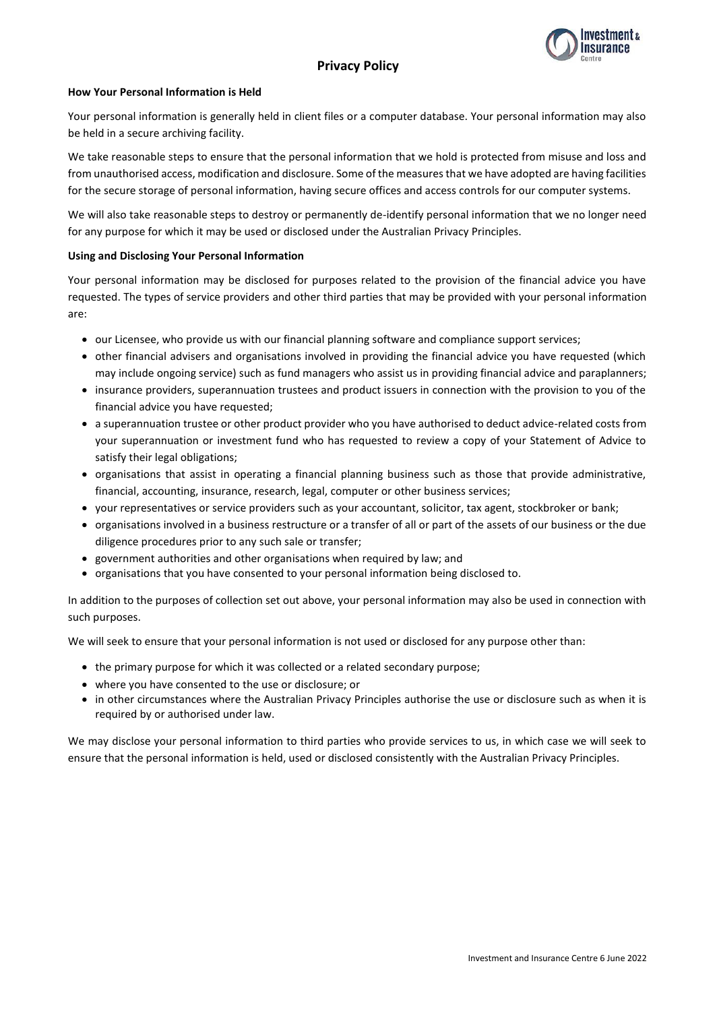# **Privacy Policy**



## **How Your Personal Information is Held**

Your personal information is generally held in client files or a computer database. Your personal information may also be held in a secure archiving facility.

We take reasonable steps to ensure that the personal information that we hold is protected from misuse and loss and from unauthorised access, modification and disclosure. Some of the measures that we have adopted are having facilities for the secure storage of personal information, having secure offices and access controls for our computer systems.

We will also take reasonable steps to destroy or permanently de-identify personal information that we no longer need for any purpose for which it may be used or disclosed under the Australian Privacy Principles.

## **Using and Disclosing Your Personal Information**

Your personal information may be disclosed for purposes related to the provision of the financial advice you have requested. The types of service providers and other third parties that may be provided with your personal information are:

- our Licensee, who provide us with our financial planning software and compliance support services;
- other financial advisers and organisations involved in providing the financial advice you have requested (which may include ongoing service) such as fund managers who assist us in providing financial advice and paraplanners;
- insurance providers, superannuation trustees and product issuers in connection with the provision to you of the financial advice you have requested;
- a superannuation trustee or other product provider who you have authorised to deduct advice-related costs from your superannuation or investment fund who has requested to review a copy of your Statement of Advice to satisfy their legal obligations;
- organisations that assist in operating a financial planning business such as those that provide administrative, financial, accounting, insurance, research, legal, computer or other business services;
- your representatives or service providers such as your accountant, solicitor, tax agent, stockbroker or bank;
- organisations involved in a business restructure or a transfer of all or part of the assets of our business or the due diligence procedures prior to any such sale or transfer;
- government authorities and other organisations when required by law; and
- organisations that you have consented to your personal information being disclosed to.

In addition to the purposes of collection set out above, your personal information may also be used in connection with such purposes.

We will seek to ensure that your personal information is not used or disclosed for any purpose other than:

- the primary purpose for which it was collected or a related secondary purpose;
- where you have consented to the use or disclosure; or
- in other circumstances where the Australian Privacy Principles authorise the use or disclosure such as when it is required by or authorised under law.

We may disclose your personal information to third parties who provide services to us, in which case we will seek to ensure that the personal information is held, used or disclosed consistently with the Australian Privacy Principles.